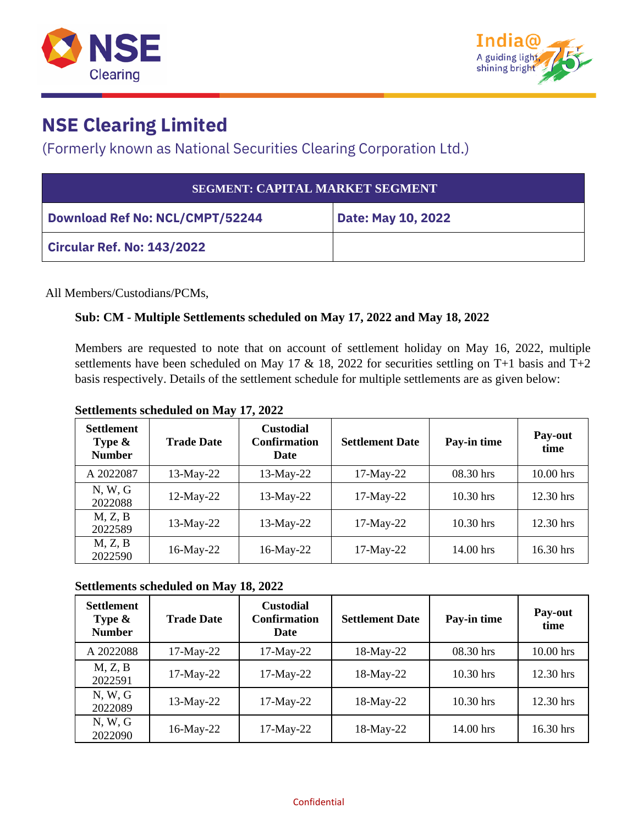



## **NSE Clearing Limited**

## (Formerly known as National Securities Clearing Corporation Ltd.)

| <b>SEGMENT: CAPITAL MARKET SEGMENT</b> |                    |  |  |
|----------------------------------------|--------------------|--|--|
| <b>Download Ref No: NCL/CMPT/52244</b> | Date: May 10, 2022 |  |  |
| <b>Circular Ref. No: 143/2022</b>      |                    |  |  |

All Members/Custodians/PCMs,

#### **Sub: CM - Multiple Settlements scheduled on May 17, 2022 and May 18, 2022**

Members are requested to note that on account of settlement holiday on May 16, 2022, multiple settlements have been scheduled on May 17  $\&$  18, 2022 for securities settling on T+1 basis and T+2 basis respectively. Details of the settlement schedule for multiple settlements are as given below:

| <b>Settlement</b><br>Type $\&$<br><b>Number</b> | <b>Trade Date</b> | <b>Custodial</b><br><b>Confirmation</b><br><b>Date</b> | <b>Settlement Date</b> | Pay-in time | Pay-out<br>time |
|-------------------------------------------------|-------------------|--------------------------------------------------------|------------------------|-------------|-----------------|
| A 2022087                                       | $13$ -May-22      | 13-May-22                                              | $17-May-22$            | 08.30 hrs   | 10.00 hrs       |
| N, W, G<br>2022088                              | $12$ -May-22      | $13-May-22$                                            | $17-May-22$            | 10.30 hrs   | 12.30 hrs       |
| M, Z, B<br>2022589                              | $13$ -May-22      | $13-May-22$                                            | $17-May-22$            | 10.30 hrs   | 12.30 hrs       |
| M, Z, B<br>2022590                              | $16$ -May-22      | 16-May-22                                              | $17-May-22$            | 14.00 hrs   | 16.30 hrs       |

#### **Settlements scheduled on May 17, 2022**

#### **Settlements scheduled on May 18, 2022**

| <b>Settlement</b><br><b>Type &amp;</b><br><b>Number</b> | <b>Trade Date</b> | <b>Custodial</b><br><b>Confirmation</b><br><b>Date</b> | <b>Settlement Date</b> | Pay-in time | Pay-out<br>time |
|---------------------------------------------------------|-------------------|--------------------------------------------------------|------------------------|-------------|-----------------|
| A 2022088                                               | $17-May-22$       | $17-May-22$                                            | 18-May-22              | 08.30 hrs   | 10.00 hrs       |
| M, Z, B<br>2022591                                      | $17-May-22$       | $17-May-22$                                            | 18-May-22              | $10.30$ hrs | 12.30 hrs       |
| N, W, G<br>2022089                                      | $13$ -May-22      | $17-May-22$                                            | 18-May-22              | 10.30 hrs   | 12.30 hrs       |
| N, W, G<br>2022090                                      | 16-May-22         | $17-May-22$                                            | 18-May-22              | 14.00 hrs   | 16.30 hrs       |